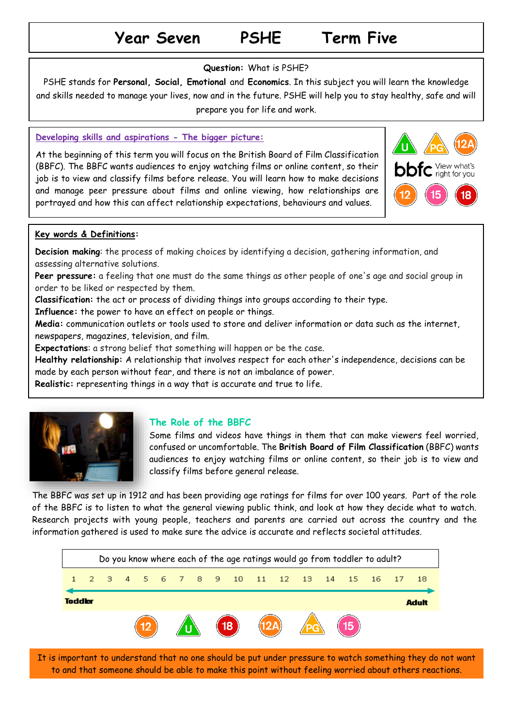# **Year Seven PSHE Term Five**

#### **Question:** What is PSHE?

PSHE stands for **Personal, Social, Emotional** and **Economics**. In this subject you will learn the knowledge and skills needed to manage your lives, now and in the future. PSHE will help you to stay healthy, safe and will prepare you for life and work.

#### **Developing skills and aspirations - The bigger picture:**

At the beginning of this term you will focus on the British Board of Film Classification (BBFC). The BBFC wants audiences to enjoy watching films or online content, so their job is to view and classify films before release. You will learn how to make decisions and manage peer pressure about films and online viewing, how relationships are portrayed and how this can affect relationship expectations, behaviours and values.



#### **Key words & Definitions:**

**Decision making**: the process of making choices by identifying a decision, gathering information, and assessing alternative solutions.

**Peer pressure:** a feeling that one must do the same things as other people of one's age and social group in order to be liked or respected by them.

**Classification:** the [act](https://dictionary.cambridge.org/dictionary/english/act) or [process](https://dictionary.cambridge.org/dictionary/english/process) of [dividing](https://dictionary.cambridge.org/dictionary/english/divide) things into [groups](https://dictionary.cambridge.org/dictionary/english/group) [according](https://dictionary.cambridge.org/dictionary/english/accord) to [their](https://dictionary.cambridge.org/dictionary/english/their) [type.](https://dictionary.cambridge.org/dictionary/english/type)

**Influence:** the [power](https://dictionary.cambridge.org/dictionary/english/power) to have an [effect](https://dictionary.cambridge.org/dictionary/english/effect) on [people](https://dictionary.cambridge.org/dictionary/english/people) or things.

**Media:** communication outlets or tools used to store and deliver information or data such as the internet, newspapers, magazines, television, and film.

**Expectations**: a strong belief that something will happen or be the case.

**Healthy relationship:** A relationship that involves respect for each other's independence, decisions can be made by each person without fear, and there is not an imbalance of power.

**Realistic:** representing things in a way that is accurate and true to life.



## **The Role of the BBFC**

Some films and videos have things in them that can make viewers feel worried, confused or uncomfortable. The **British Board of Film Classification** (BBFC) wants audiences to enjoy watching films or online content, so their job is to view and classify films before general release.

The BBFC was set up in 1912 and has been providing age ratings for films for over 100 years. Part of the role of the BBFC is to listen to what the general viewing public think, and look at how they decide what to watch. Research projects with young people, teachers and parents are carried out across the country and the information gathered is used to make sure the advice is accurate and reflects societal attitudes.



It is important to understand that no one should be put under pressure to watch something they do not want to and that someone should be able to make this point without feeling worried about others reactions.